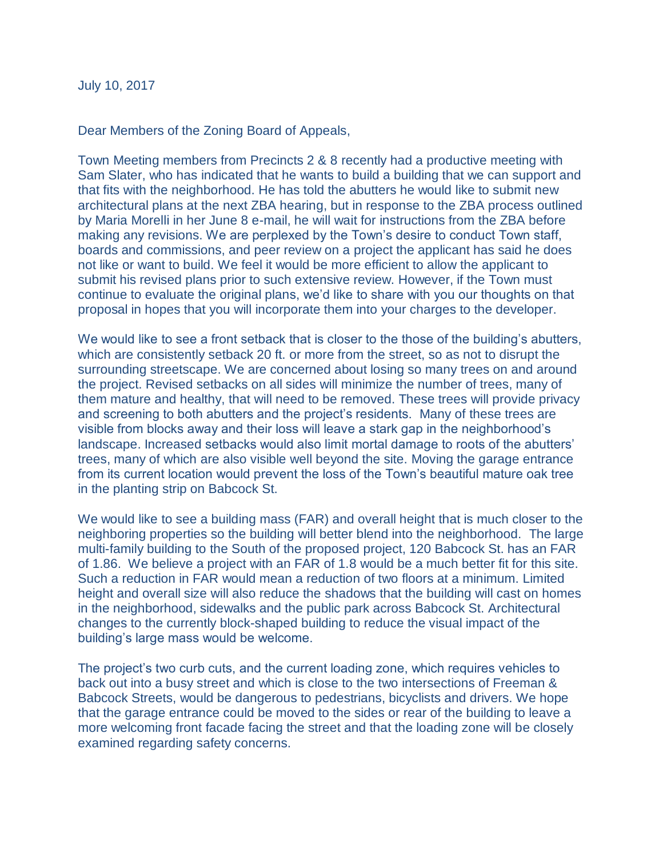July 10, 2017

Dear Members of the Zoning Board of Appeals,

Town Meeting members from Precincts 2 & 8 recently had a productive meeting with Sam Slater, who has indicated that he wants to build a building that we can support and that fits with the neighborhood. He has told the abutters he would like to submit new architectural plans at the next ZBA hearing, but in response to the ZBA process outlined by Maria Morelli in her June 8 e-mail, he will wait for instructions from the ZBA before making any revisions. We are perplexed by the Town's desire to conduct Town staff, boards and commissions, and peer review on a project the applicant has said he does not like or want to build. We feel it would be more efficient to allow the applicant to submit his revised plans prior to such extensive review. However, if the Town must continue to evaluate the original plans, we'd like to share with you our thoughts on that proposal in hopes that you will incorporate them into your charges to the developer.

We would like to see a front setback that is closer to the those of the building's abutters, which are consistently setback 20 ft. or more from the street, so as not to disrupt the surrounding streetscape. We are concerned about losing so many trees on and around the project. Revised setbacks on all sides will minimize the number of trees, many of them mature and healthy, that will need to be removed. These trees will provide privacy and screening to both abutters and the project's residents. Many of these trees are visible from blocks away and their loss will leave a stark gap in the neighborhood's landscape. Increased setbacks would also limit mortal damage to roots of the abutters' trees, many of which are also visible well beyond the site. Moving the garage entrance from its current location would prevent the loss of the Town's beautiful mature oak tree in the planting strip on Babcock St.

We would like to see a building mass (FAR) and overall height that is much closer to the neighboring properties so the building will better blend into the neighborhood. The large multi-family building to the South of the proposed project, 120 Babcock St. has an FAR of 1.86. We believe a project with an FAR of 1.8 would be a much better fit for this site. Such a reduction in FAR would mean a reduction of two floors at a minimum. Limited height and overall size will also reduce the shadows that the building will cast on homes in the neighborhood, sidewalks and the public park across Babcock St. Architectural changes to the currently block-shaped building to reduce the visual impact of the building's large mass would be welcome.

The project's two curb cuts, and the current loading zone, which requires vehicles to back out into a busy street and which is close to the two intersections of Freeman & Babcock Streets, would be dangerous to pedestrians, bicyclists and drivers. We hope that the garage entrance could be moved to the sides or rear of the building to leave a more welcoming front facade facing the street and that the loading zone will be closely examined regarding safety concerns.